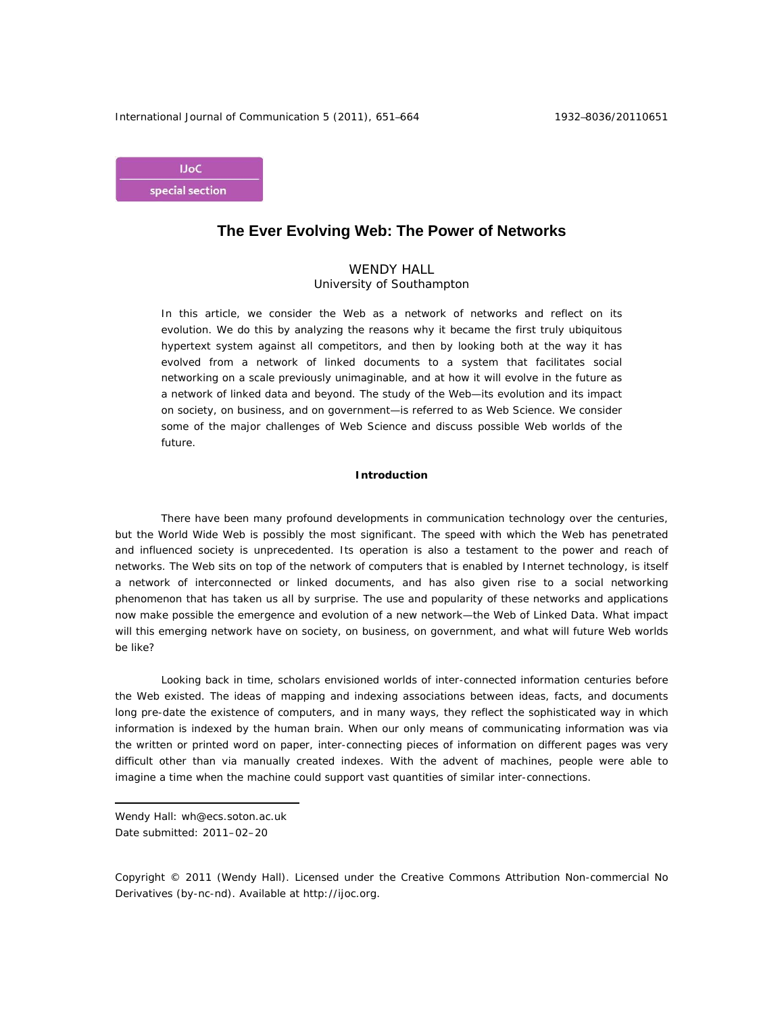**UoC** special section

# **The Ever Evolving Web: The Power of Networks**

# WENDY HALL University of Southampton

In this article, we consider the Web as a network of networks and reflect on its evolution. We do this by analyzing the reasons why it became the first truly ubiquitous hypertext system against all competitors, and then by looking both at the way it has evolved from a network of linked documents to a system that facilitates social networking on a scale previously unimaginable, and at how it will evolve in the future as a network of linked data and beyond. The study of the Web—its evolution and its impact on society, on business, and on government—is referred to as Web Science. We consider some of the major challenges of Web Science and discuss possible Web worlds of the future.

## **Introduction**

There have been many profound developments in communication technology over the centuries, but the World Wide Web is possibly the most significant. The speed with which the Web has penetrated and influenced society is unprecedented. Its operation is also a testament to the power and reach of networks. The Web sits on top of the network of computers that is enabled by Internet technology, is itself a network of interconnected or linked documents, and has also given rise to a social networking phenomenon that has taken us all by surprise. The use and popularity of these networks and applications now make possible the emergence and evolution of a new network—the Web of Linked Data. What impact will this emerging network have on society, on business, on government, and what will future Web worlds be like?

Looking back in time, scholars envisioned worlds of inter-connected information centuries before the Web existed. The ideas of mapping and indexing associations between ideas, facts, and documents long pre-date the existence of computers, and in many ways, they reflect the sophisticated way in which information is indexed by the human brain. When our only means of communicating information was via the written or printed word on paper, inter-connecting pieces of information on different pages was very difficult other than via manually created indexes. With the advent of machines, people were able to imagine a time when the machine could support vast quantities of similar inter-connections.

 $\overline{a}$ 

Copyright © 2011 (Wendy Hall). Licensed under the Creative Commons Attribution Non-commercial No Derivatives (by-nc-nd). Available at http://ijoc.org.

Wendy Hall: wh@ecs.soton.ac.uk Date submitted: 2011–02–20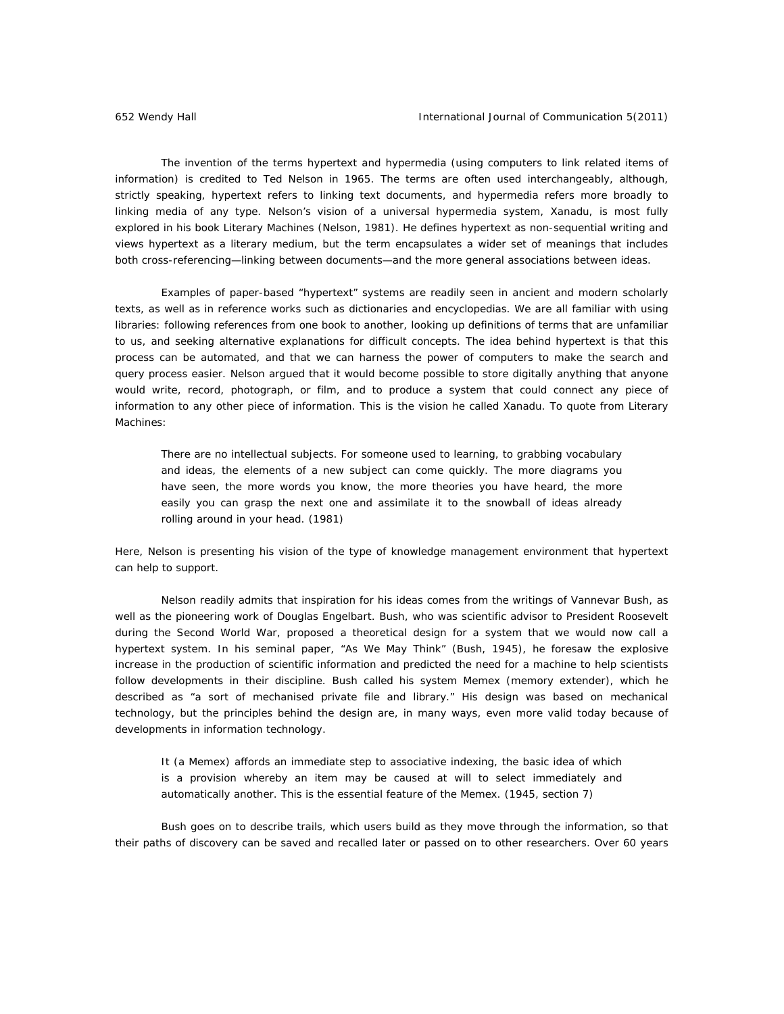The invention of the terms hypertext and hypermedia (using computers to link related items of information) is credited to Ted Nelson in 1965. The terms are often used interchangeably, although, strictly speaking, hypertext refers to linking text documents, and hypermedia refers more broadly to linking media of any type. Nelson's vision of a universal hypermedia system, Xanadu, is most fully explored in his book *Literary Machines* (Nelson, 1981). He defines hypertext as *non-sequential writing* and views hypertext as a literary medium, but the term encapsulates a wider set of meanings that includes both cross-referencing—linking between documents—and the more general associations between ideas.

 Examples of paper-based "hypertext" systems are readily seen in ancient and modern scholarly texts, as well as in reference works such as dictionaries and encyclopedias. We are all familiar with using libraries: following references from one book to another, looking up definitions of terms that are unfamiliar to us, and seeking alternative explanations for difficult concepts. The idea behind hypertext is that this process can be automated, and that we can harness the power of computers to make the search and query process easier. Nelson argued that it would become possible to store digitally anything that anyone would write, record, photograph, or film, and to produce a system that could connect any piece of information to any other piece of information. This is the vision he called Xanadu. To quote from *Literary Machines*:

There are no intellectual subjects. For someone used to learning, to grabbing vocabulary and ideas, the elements of a new subject can come quickly. The more diagrams you have seen, the more words you know, the more theories you have heard, the more easily you can grasp the next one and assimilate it to the snowball of ideas already rolling around in your head. (1981)

Here, Nelson is presenting his vision of the type of knowledge management environment that hypertext can help to support.

 Nelson readily admits that inspiration for his ideas comes from the writings of Vannevar Bush, as well as the pioneering work of Douglas Engelbart. Bush, who was scientific advisor to President Roosevelt during the Second World War, proposed a theoretical design for a system that we would now call a hypertext system. In his seminal paper, "As We May Think" (Bush, 1945), he foresaw the explosive increase in the production of scientific information and predicted the need for a machine to help scientists follow developments in their discipline. Bush called his system Memex (memory extender), which he described as "a sort of mechanised private file and library." His design was based on mechanical technology, but the principles behind the design are, in many ways, even more valid today because of developments in information technology.

It (a Memex) affords an immediate step to associative indexing, the basic idea of which is a provision whereby an item may be caused at will to select immediately and automatically another. This is the essential feature of the Memex. (1945, section 7)

 Bush goes on to describe *trails*, which users build as they move through the information, so that their paths of discovery can be saved and recalled later or passed on to other researchers. Over 60 years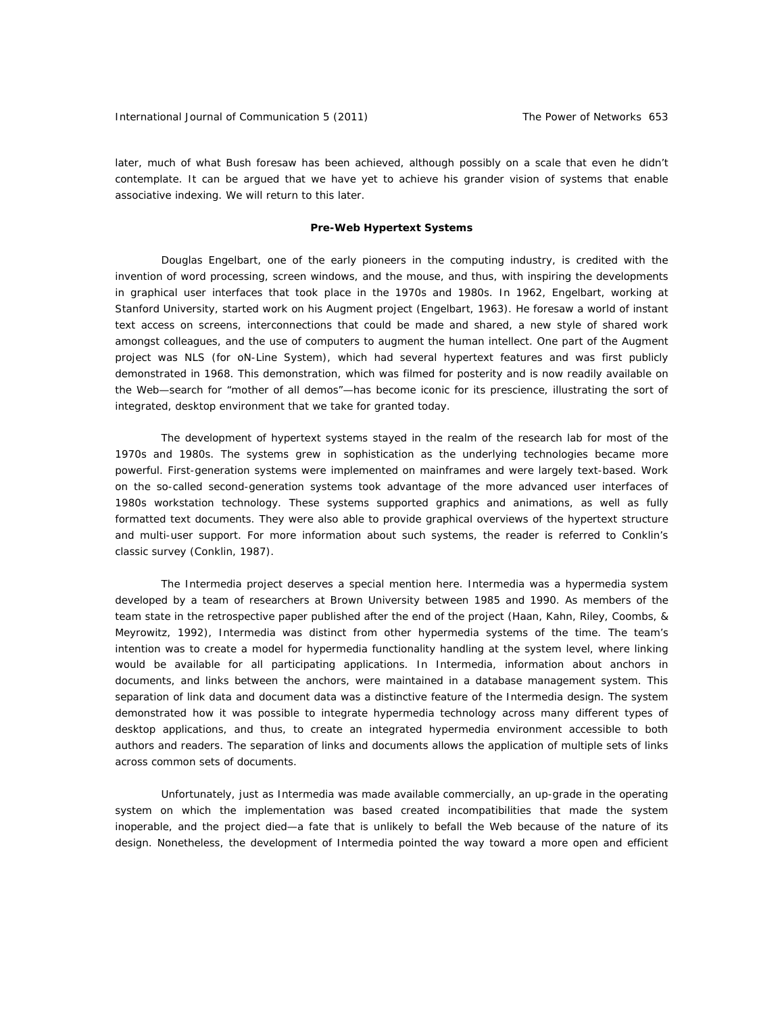later, much of what Bush foresaw has been achieved, although possibly on a scale that even he didn't contemplate. It can be argued that we have yet to achieve his grander vision of systems that enable associative indexing. We will return to this later.

## **Pre-Web Hypertext Systems**

 Douglas Engelbart, one of the early pioneers in the computing industry, is credited with the invention of word processing, screen windows, and the mouse, and thus, with inspiring the developments in graphical user interfaces that took place in the 1970s and 1980s. In 1962, Engelbart, working at Stanford University, started work on his Augment project (Engelbart, 1963). He foresaw a world of instant text access on screens, interconnections that could be made and shared, a new style of shared work amongst colleagues, and the use of computers to augment the human intellect. One part of the Augment project was NLS (for oN-Line System), which had several hypertext features and was first publicly demonstrated in 1968. This demonstration, which was filmed for posterity and is now readily available on the Web—search for "mother of all demos"—has become iconic for its prescience, illustrating the sort of integrated, desktop environment that we take for granted today.

 The development of hypertext systems stayed in the realm of the research lab for most of the 1970s and 1980s. The systems grew in sophistication as the underlying technologies became more powerful. First-generation systems were implemented on mainframes and were largely text-based. Work on the so-called second-generation systems took advantage of the more advanced user interfaces of 1980s workstation technology. These systems supported graphics and animations, as well as fully formatted text documents. They were also able to provide graphical overviews of the hypertext structure and multi-user support. For more information about such systems, the reader is referred to Conklin's classic survey (Conklin, 1987).

 The Intermedia project deserves a special mention here. Intermedia was a hypermedia system developed by a team of researchers at Brown University between 1985 and 1990. As members of the team state in the retrospective paper published after the end of the project (Haan, Kahn, Riley, Coombs, & Meyrowitz, 1992), Intermedia was distinct from other hypermedia systems of the time. The team's intention was to create a model for hypermedia functionality handling at the system level, where linking would be available for all participating applications. In Intermedia, information about anchors in documents, and links between the anchors, were maintained in a database management system. This separation of link data and document data was a distinctive feature of the Intermedia design. The system demonstrated how it was possible to integrate hypermedia technology across many different types of desktop applications, and thus, to create an integrated hypermedia environment accessible to both authors and readers. The separation of links and documents allows the application of multiple sets of links across common sets of documents.

 Unfortunately, just as Intermedia was made available commercially, an up-grade in the operating system on which the implementation was based created incompatibilities that made the system inoperable, and the project died—a fate that is unlikely to befall the Web because of the nature of its design. Nonetheless, the development of Intermedia pointed the way toward a more open and efficient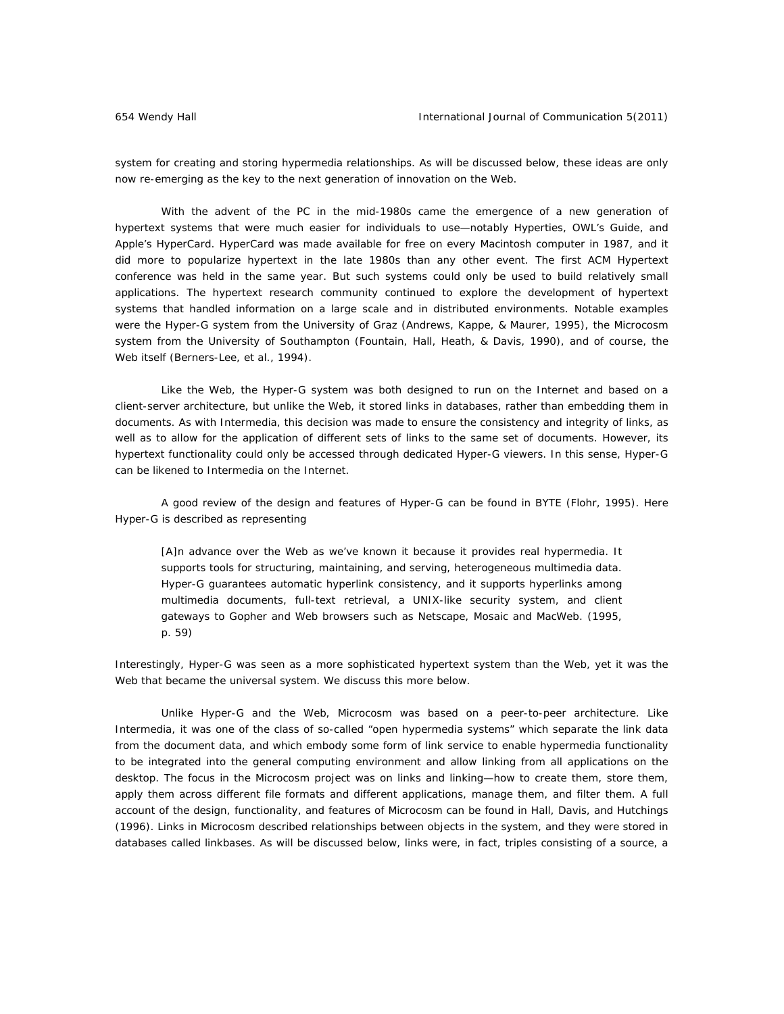system for creating and storing hypermedia relationships. As will be discussed below, these ideas are only now re-emerging as the key to the next generation of innovation on the Web.

 With the advent of the PC in the mid-1980s came the emergence of a new generation of hypertext systems that were much easier for individuals to use—notably Hyperties, OWL's Guide, and Apple's HyperCard. HyperCard was made available for free on every Macintosh computer in 1987, and it did more to popularize hypertext in the late 1980s than any other event. The first ACM Hypertext conference was held in the same year. But such systems could only be used to build relatively small applications. The hypertext research community continued to explore the development of hypertext systems that handled information on a large scale and in distributed environments. Notable examples were the Hyper-G system from the University of Graz (Andrews, Kappe, & Maurer, 1995), the Microcosm system from the University of Southampton (Fountain, Hall, Heath, & Davis, 1990), and of course, the Web itself (Berners-Lee, et al., 1994).

 Like the Web, the Hyper-G system was both designed to run on the Internet and based on a client-server architecture, but unlike the Web, it stored links in databases, rather than embedding them in documents. As with Intermedia, this decision was made to ensure the consistency and integrity of links, as well as to allow for the application of different sets of links to the same set of documents. However, its hypertext functionality could only be accessed through dedicated Hyper-G viewers. In this sense, Hyper-G can be likened to Intermedia on the Internet.

 A good review of the design and features of Hyper-G can be found in BYTE (Flohr, 1995). Here Hyper-G is described as representing

[A]n advance over the Web as we've known it because it provides real hypermedia. It supports tools for structuring, maintaining, and serving, heterogeneous multimedia data. Hyper-G guarantees automatic hyperlink consistency, and it supports hyperlinks among multimedia documents, full-text retrieval, a UNIX-like security system, and client gateways to Gopher and Web browsers such as Netscape, Mosaic and MacWeb. (1995, p. 59)

Interestingly, Hyper-G was seen as a more sophisticated hypertext system than the Web, yet it was the Web that became the universal system. We discuss this more below.

 Unlike Hyper-G and the Web, Microcosm was based on a peer-to-peer architecture. Like Intermedia, it was one of the class of so-called "open hypermedia systems" which separate the link data from the document data, and which embody some form of link service to enable hypermedia functionality to be integrated into the general computing environment and allow linking from all applications on the desktop. The focus in the Microcosm project was on links and linking—how to create them, store them, apply them across different file formats and different applications, manage them, and filter them. A full account of the design, functionality, and features of Microcosm can be found in Hall, Davis, and Hutchings (1996). Links in Microcosm described relationships between objects in the system, and they were stored in databases called *linkbases*. As will be discussed below, links were, in fact, triples consisting of a source, a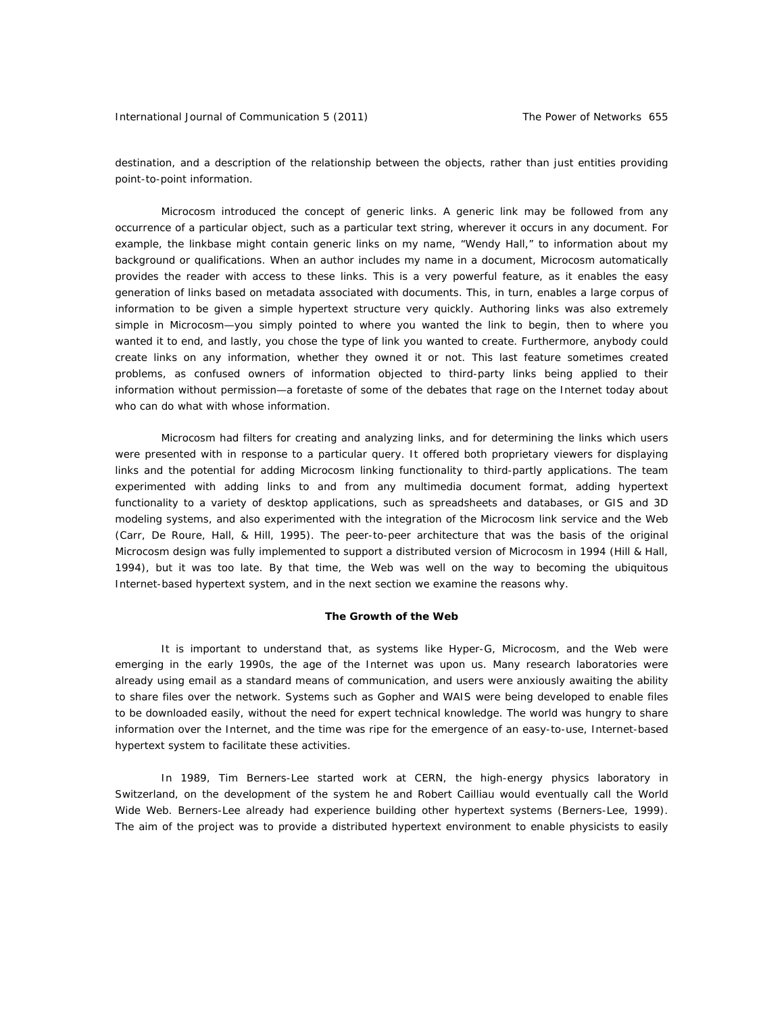destination, and a description of the relationship between the objects, rather than just entities providing point-to-point information.

 Microcosm introduced the concept of generic links. A generic link may be followed from any occurrence of a particular object, such as a particular text string, wherever it occurs in any document. For example, the linkbase might contain generic links on my name, "Wendy Hall," to information about my background or qualifications. When an author includes my name in a document, Microcosm automatically provides the reader with access to these links. This is a very powerful feature, as it enables the easy generation of links based on metadata associated with documents. This, in turn, enables a large corpus of information to be given a simple hypertext structure very quickly. Authoring links was also extremely simple in Microcosm—you simply pointed to where you wanted the link to begin, then to where you wanted it to end, and lastly, you chose the type of link you wanted to create. Furthermore, anybody could create links on any information, whether they owned it or not. This last feature sometimes created problems, as confused owners of information objected to third-party links being applied to their information without permission—a foretaste of some of the debates that rage on the Internet today about who can do what with whose information.

 Microcosm had filters for creating and analyzing links, and for determining the links which users were presented with in response to a particular query. It offered both proprietary viewers for displaying links and the potential for adding Microcosm linking functionality to third-partly applications. The team experimented with adding links to and from any multimedia document format, adding hypertext functionality to a variety of desktop applications, such as spreadsheets and databases, or GIS and 3D modeling systems, and also experimented with the integration of the Microcosm link service and the Web (Carr, De Roure, Hall, & Hill, 1995). The peer-to-peer architecture that was the basis of the original Microcosm design was fully implemented to support a distributed version of Microcosm in 1994 (Hill & Hall, 1994), but it was too late. By that time, the Web was well on the way to becoming the ubiquitous Internet-based hypertext system, and in the next section we examine the reasons why.

## **The Growth of the Web**

 It is important to understand that, as systems like Hyper-G, Microcosm, and the Web were emerging in the early 1990s, the age of the Internet was upon us. Many research laboratories were already using email as a standard means of communication, and users were anxiously awaiting the ability to share files over the network. Systems such as Gopher and WAIS were being developed to enable files to be downloaded easily, without the need for expert technical knowledge. The world was hungry to share information over the Internet, and the time was ripe for the emergence of an easy-to-use, Internet-based hypertext system to facilitate these activities.

 In 1989, Tim Berners-Lee started work at CERN, the high-energy physics laboratory in Switzerland, on the development of the system he and Robert Cailliau would eventually call the World Wide Web. Berners-Lee already had experience building other hypertext systems (Berners-Lee, 1999). The aim of the project was to provide a distributed hypertext environment to enable physicists to easily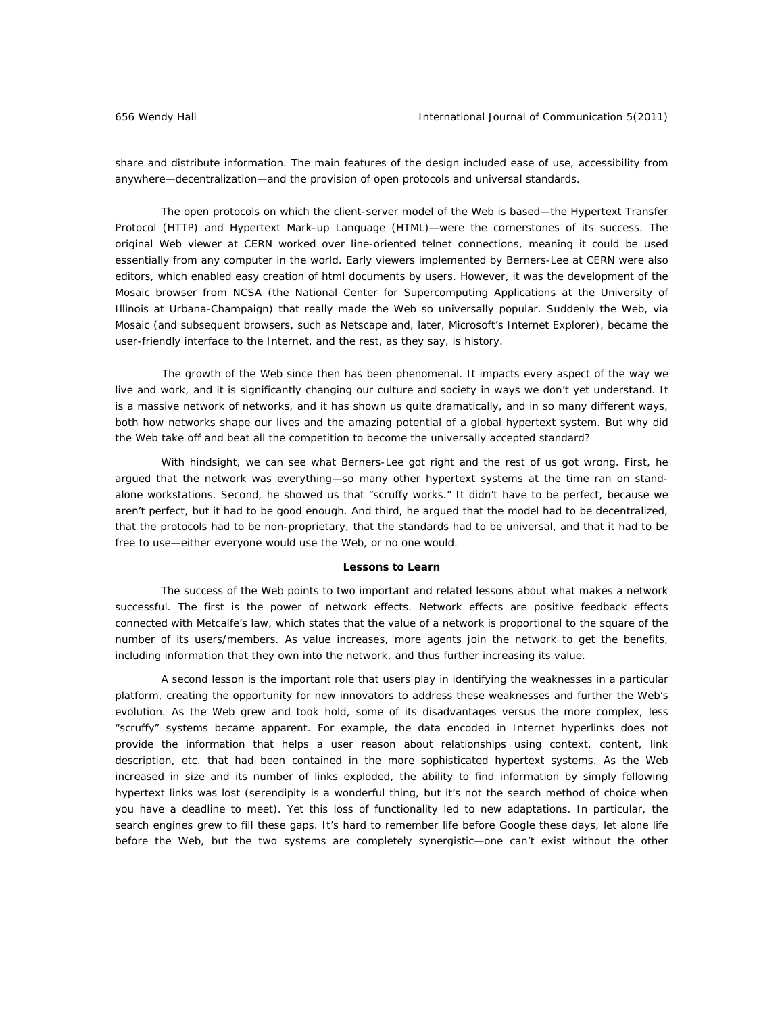share and distribute information. The main features of the design included ease of use, accessibility from anywhere—decentralization—and the provision of open protocols and universal standards.

 The open protocols on which the client-server model of the Web is based—the Hypertext Transfer Protocol (HTTP) and Hypertext Mark-up Language (HTML)—were the cornerstones of its success. The original Web viewer at CERN worked over line-oriented telnet connections, meaning it could be used essentially from any computer in the world. Early viewers implemented by Berners-Lee at CERN were also editors, which enabled easy creation of html documents by users. However, it was the development of the Mosaic browser from NCSA (the National Center for Supercomputing Applications at the University of Illinois at Urbana-Champaign) that really made the Web so universally popular. Suddenly the Web, via Mosaic (and subsequent browsers, such as Netscape and, later, Microsoft's Internet Explorer), became the user-friendly interface to the Internet, and the rest, as they say, is history.

 The growth of the Web since then has been phenomenal. It impacts every aspect of the way we live and work, and it is significantly changing our culture and society in ways we don't yet understand. It is a massive network of networks, and it has shown us quite dramatically, and in so many different ways, both how networks shape our lives and the amazing potential of a global hypertext system. But why did the Web take off and beat all the competition to become the universally accepted standard?

 With hindsight, we can see what Berners-Lee got right and the rest of us got wrong. First, he argued that the network was everything—so many other hypertext systems at the time ran on standalone workstations. Second, he showed us that "scruffy works." It didn't have to be perfect, because we aren't perfect, but it had to be good enough. And third, he argued that the model had to be decentralized, that the protocols had to be non-proprietary, that the standards had to be universal, and that it had to be free to use—either everyone would use the Web, or no one would.

### **Lessons to Learn**

 The success of the Web points to two important and related lessons about what makes a network successful. The first is the power of network effects. Network effects are positive feedback effects connected with *Metcalfe's law*, which states that the value of a network is proportional to the square of the number of its users/members. As value increases, more agents join the network to get the benefits, including information that they own into the network, and thus further increasing its value.

 A second lesson is the important role that users play in identifying the weaknesses in a particular platform, creating the opportunity for new innovators to address these weaknesses and further the Web's evolution. As the Web grew and took hold, some of its disadvantages versus the more complex, less "scruffy" systems became apparent. For example, the data encoded in Internet hyperlinks does not provide the information that helps a user reason about relationships using context, content, link description, etc. that had been contained in the more sophisticated hypertext systems. As the Web increased in size and its number of links exploded, the ability to find information by simply following hypertext links was lost (serendipity is a wonderful thing, but it's not the search method of choice when you have a deadline to meet). Yet this loss of functionality led to new adaptations. In particular, the search engines grew to fill these gaps. It's hard to remember life before Google these days, let alone life before the Web, but the two systems are completely synergistic—one can't exist without the other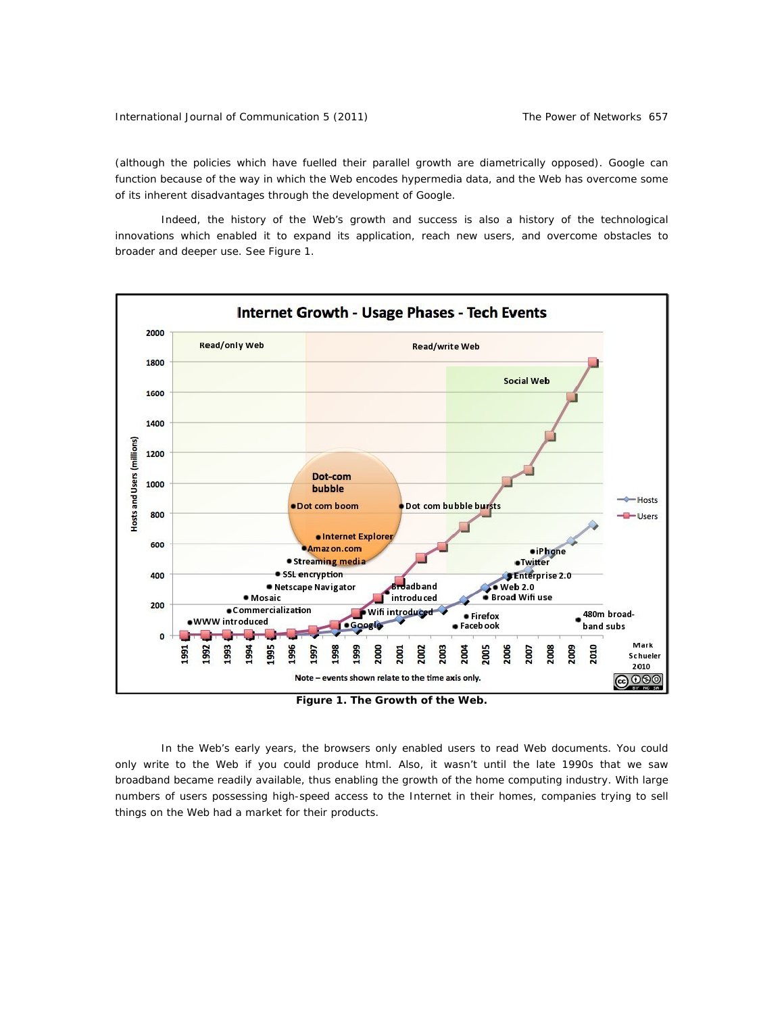(although the policies which have fuelled their parallel growth are diametrically opposed). Google can function because of the way in which the Web encodes hypermedia data, and the Web has overcome some of its inherent disadvantages through the development of Google.

 Indeed, the history of the Web's growth and success is also a history of the technological innovations which enabled it to expand its application, reach new users, and overcome obstacles to broader and deeper use. See Figure 1.



*Figure 1. The Growth of the Web.*

In the Web's early years, the browsers only enabled users to read Web documents. You could only write to the Web if you could produce html. Also, it wasn't until the late 1990s that we saw broadband became readily available, thus enabling the growth of the home computing industry. With large numbers of users possessing high-speed access to the Internet in their homes, companies trying to sell things on the Web had a market for their products.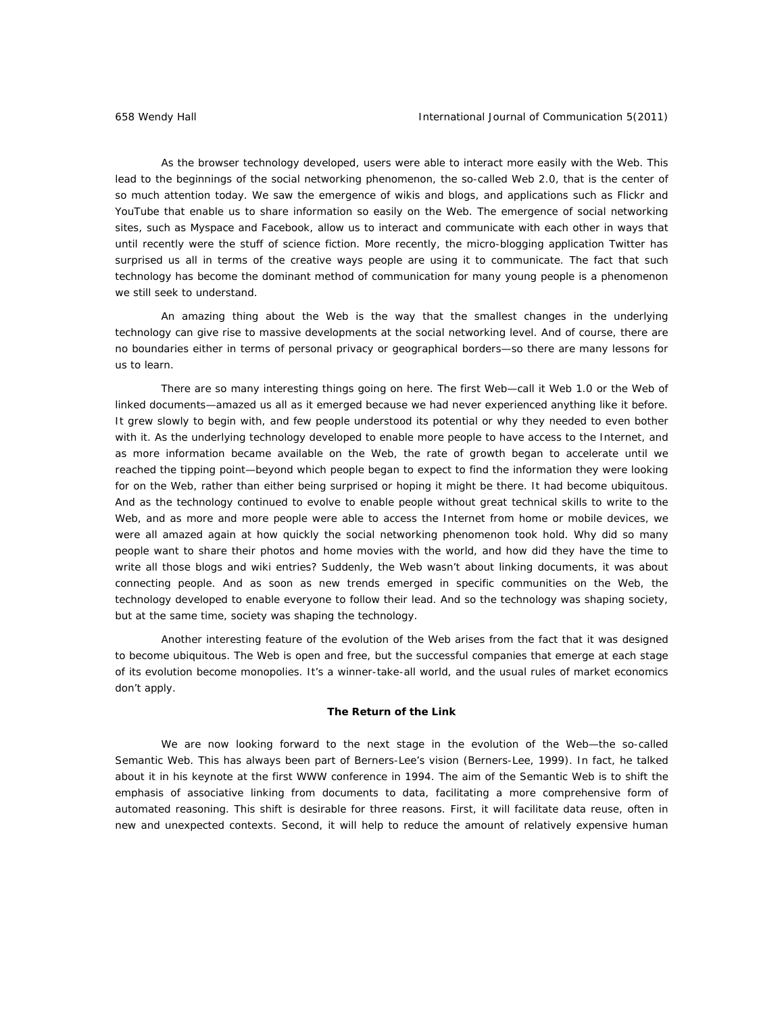As the browser technology developed, users were able to interact more easily with the Web. This lead to the beginnings of the social networking phenomenon, the so-called Web 2.0, that is the center of so much attention today. We saw the emergence of wikis and blogs, and applications such as Flickr and YouTube that enable us to share information so easily on the Web. The emergence of social networking sites, such as Myspace and Facebook, allow us to interact and communicate with each other in ways that until recently were the stuff of science fiction. More recently, the micro-blogging application Twitter has surprised us all in terms of the creative ways people are using it to communicate. The fact that such technology has become the dominant method of communication for many young people is a phenomenon we still seek to understand.

 An amazing thing about the Web is the way that the smallest changes in the underlying technology can give rise to massive developments at the social networking level. And of course, there are no boundaries either in terms of personal privacy or geographical borders—so there are many lessons for us to learn.

 There are so many interesting things going on here. The first Web—call it Web 1.0 or the Web of linked documents—amazed us all as it emerged because we had never experienced anything like it before. It grew slowly to begin with, and few people understood its potential or why they needed to even bother with it. As the underlying technology developed to enable more people to have access to the Internet, and as more information became available on the Web, the rate of growth began to accelerate until we reached the tipping point—beyond which people began to expect to find the information they were looking for on the Web, rather than either being surprised or hoping it might be there. It had become ubiquitous. And as the technology continued to evolve to enable people without great technical skills to write to the Web, and as more and more people were able to access the Internet from home or mobile devices, we were all amazed again at how quickly the social networking phenomenon took hold. Why did so many people want to share their photos and home movies with the world, and how did they have the time to write all those blogs and wiki entries? Suddenly, the Web wasn't about linking documents, it was about connecting people. And as soon as new trends emerged in specific communities on the Web, the technology developed to enable everyone to follow their lead. And so the technology was shaping society, but at the same time, society was shaping the technology.

 Another interesting feature of the evolution of the Web arises from the fact that it was designed to become ubiquitous. The Web is open and free, but the successful companies that emerge at each stage of its evolution become monopolies. It's a winner-take-all world, and the usual rules of market economics don't apply.

## **The Return of the Link**

 We are now looking forward to the next stage in the evolution of the Web—the so-called Semantic Web. This has always been part of Berners-Lee's vision (Berners-Lee, 1999). In fact, he talked about it in his keynote at the first WWW conference in 1994. The aim of the Semantic Web is to shift the emphasis of associative linking from documents to data, facilitating a more comprehensive form of automated reasoning. This shift is desirable for three reasons. First, it will facilitate data reuse, often in new and unexpected contexts. Second, it will help to reduce the amount of relatively expensive human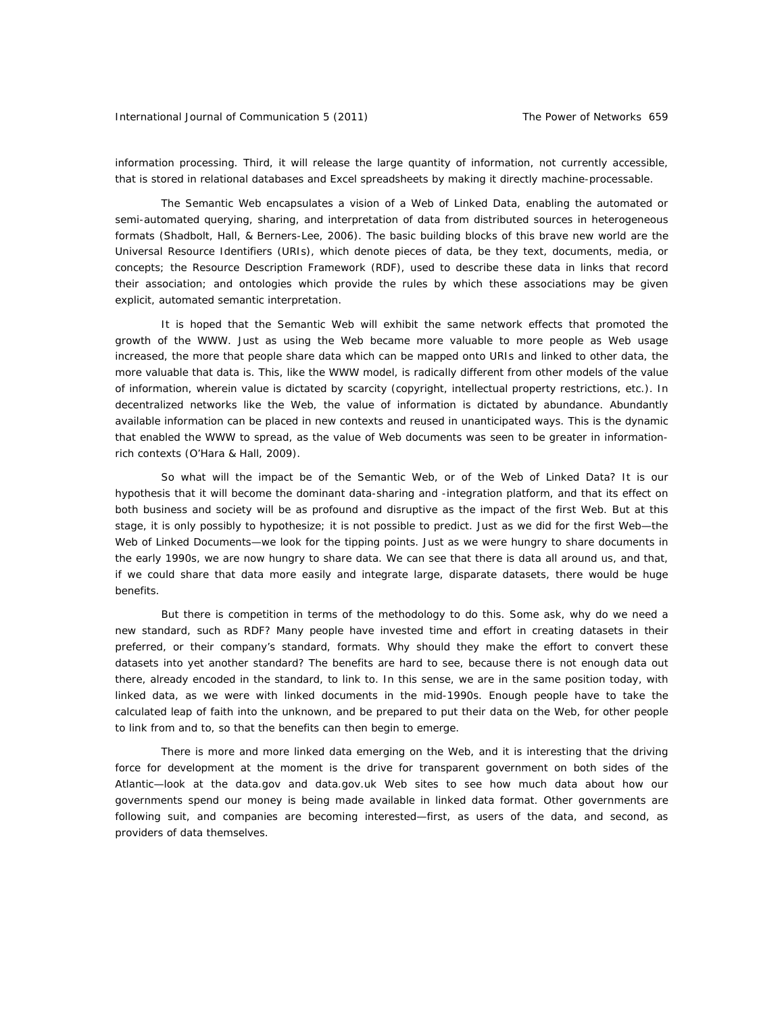information processing. Third, it will release the large quantity of information, not currently accessible, that is stored in relational databases and Excel spreadsheets by making it directly machine-processable.

 The Semantic Web encapsulates a vision of a Web of Linked Data, enabling the automated or semi-automated querying, sharing, and interpretation of data from distributed sources in heterogeneous formats (Shadbolt, Hall, & Berners-Lee, 2006). The basic building blocks of this brave new world are the Universal Resource Identifiers (URIs), which denote pieces of data, be they text, documents, media, or concepts; the Resource Description Framework (RDF), used to describe these data in links that record their association; and ontologies which provide the rules by which these associations may be given explicit, automated semantic interpretation.

 It is hoped that the Semantic Web will exhibit the same *network effects* that promoted the growth of the WWW. Just as using the Web became more valuable to more people as Web usage increased, the more that people share data which can be mapped onto URIs and linked to other data, the more valuable that data is. This, like the WWW model, is radically different from other models of the value of information, wherein value is dictated by *scarcity* (copyright, intellectual property restrictions, etc.). In decentralized networks like the Web, the value of information is dictated by *abundance*. Abundantly available information can be placed in new contexts and reused in unanticipated ways. This is the dynamic that enabled the WWW to spread, as the value of Web documents was seen to be greater in informationrich contexts (O'Hara & Hall, 2009).

 So what will the impact be of the Semantic Web, or of the Web of Linked Data? It is our hypothesis that it will become the dominant data-sharing and -integration platform, and that its effect on both business and society will be as profound and disruptive as the impact of the first Web. But at this stage, it is only possibly to hypothesize; it is not possible to predict. Just as we did for the first Web—the Web of Linked Documents—we look for the tipping points. Just as we were hungry to share documents in the early 1990s, we are now hungry to share data. We can see that there is data all around us, and that, if we could share that data more easily and integrate large, disparate datasets, there would be huge benefits.

 But there is competition in terms of the methodology to do this. Some ask, why do we need a new standard, such as RDF? Many people have invested time and effort in creating datasets in their preferred, or their company's standard, formats. Why should they make the effort to convert these datasets into yet another standard? The benefits are hard to see, because there is not enough data out there, already encoded in the standard, to link to. In this sense, we are in the same position today, with linked data, as we were with linked documents in the mid-1990s. Enough people have to take the calculated leap of faith into the unknown, and be prepared to put their data on the Web, for other people to link from and to, so that the benefits can then begin to emerge.

 There is more and more linked data emerging on the Web, and it is interesting that the driving force for development at the moment is the drive for transparent government on both sides of the Atlantic—look at the data.gov and data.gov.uk Web sites to see how much data about how our governments spend our money is being made available in linked data format. Other governments are following suit, and companies are becoming interested—first, as users of the data, and second, as providers of data themselves.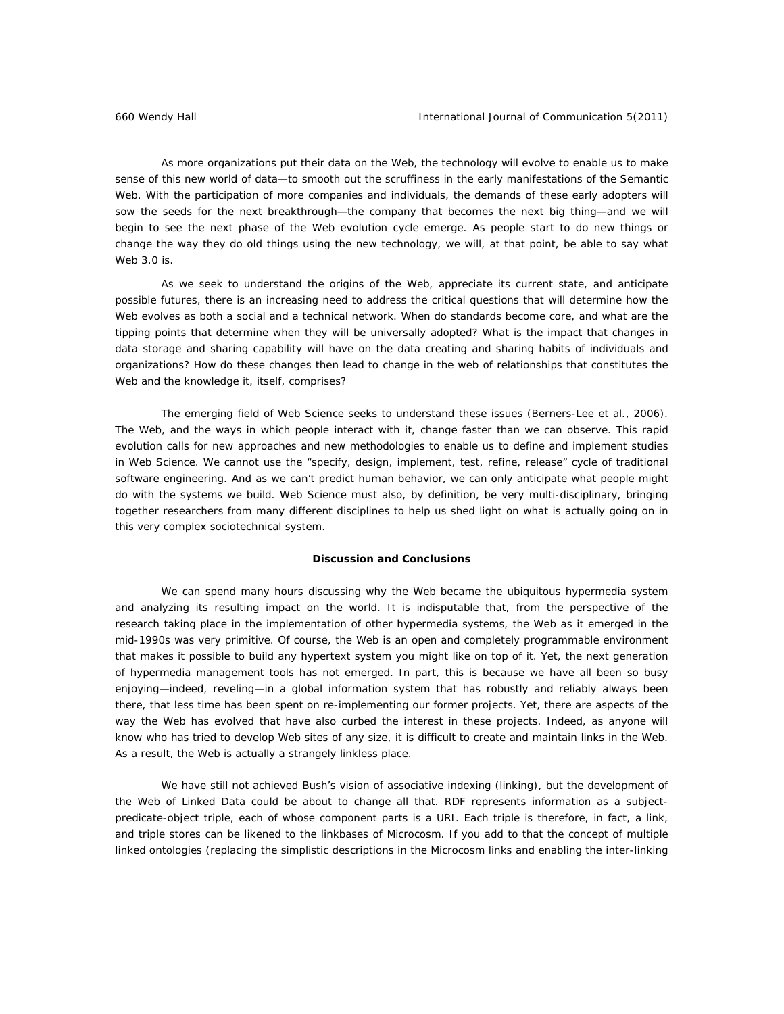As more organizations put their data on the Web, the technology will evolve to enable us to make sense of this new world of data—to smooth out the scruffiness in the early manifestations of the Semantic Web. With the participation of more companies and individuals, the demands of these early adopters will sow the seeds for the next breakthrough—the company that becomes the next big thing—and we will begin to see the next phase of the Web evolution cycle emerge. As people start to do new things or change the way they do old things using the new technology, we will, at that point, be able to say what Web 3.0 is.

 As we seek to understand the origins of the Web, appreciate its current state, and anticipate possible futures, there is an increasing need to address the critical questions that will determine how the Web evolves as both a social and a technical network. When do standards become core, and what are the tipping points that determine when they will be universally adopted? What is the impact that changes in data storage and sharing capability will have on the data creating and sharing habits of individuals and organizations? How do these changes then lead to change in the web of relationships that constitutes the Web and the knowledge it, itself, comprises?

 The emerging field of Web Science seeks to understand these issues (Berners-Lee et al., 2006). The Web, and the ways in which people interact with it, change faster than we can observe. This rapid evolution calls for new approaches and new methodologies to enable us to define and implement studies in Web Science. We cannot use the "specify, design, implement, test, refine, release" cycle of traditional software engineering. And as we can't predict human behavior, we can only anticipate what people might do with the systems we build. Web Science must also, by definition, be very multi-disciplinary, bringing together researchers from many different disciplines to help us shed light on what is actually going on in this very complex sociotechnical system.

## **Discussion and Conclusions**

 We can spend many hours discussing why the Web became the ubiquitous hypermedia system and analyzing its resulting impact on the world. It is indisputable that, from the perspective of the research taking place in the implementation of other hypermedia systems, the Web as it emerged in the mid-1990s was very primitive. Of course, the Web is an open and completely programmable environment that makes it possible to build any hypertext system you might like on top of it. Yet, the next generation of hypermedia management tools has not emerged. In part, this is because we have all been so busy enjoying—indeed, reveling—in a global information system that has robustly and reliably always been there, that less time has been spent on re-implementing our former projects. Yet, there are aspects of the way the Web has evolved that have also curbed the interest in these projects. Indeed, as anyone will know who has tried to develop Web sites of any size, it is difficult to create and maintain links in the Web. As a result, the Web is actually a strangely linkless place.

 We have still not achieved Bush's vision of associative indexing (linking), but the development of the Web of Linked Data could be about to change all that. RDF represents information as a subjectpredicate-object triple, each of whose component parts is a URI. Each triple is therefore, in fact, a link, and triple stores can be likened to the linkbases of Microcosm. If you add to that the concept of multiple linked ontologies (replacing the simplistic descriptions in the Microcosm links and enabling the inter-linking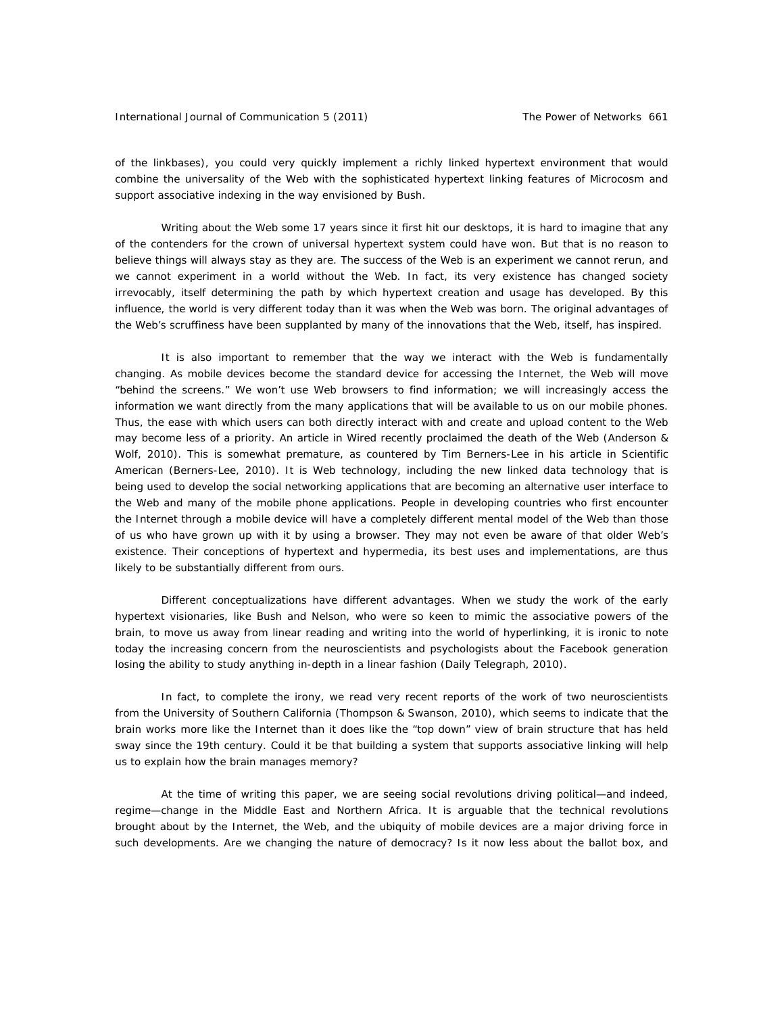of the linkbases), you could very quickly implement a richly linked hypertext environment that would combine the universality of the Web with the sophisticated hypertext linking features of Microcosm and support associative indexing in the way envisioned by Bush.

 Writing about the Web some 17 years since it first hit our desktops, it is hard to imagine that any of the contenders for the crown of universal hypertext system could have won. But that is no reason to believe things will always stay as they are. The success of the Web is an experiment we cannot rerun, and we cannot experiment in a world without the Web. In fact, its very existence has changed society irrevocably, itself determining the path by which hypertext creation and usage has developed. By this influence, the world is very different today than it was when the Web was born. The original advantages of the Web's scruffiness have been supplanted by many of the innovations that the Web, itself, has inspired.

It is also important to remember that the way we interact with the Web is fundamentally changing. As mobile devices become the standard device for accessing the Internet, the Web will move "behind the screens." We won't use Web browsers to find information; we will increasingly access the information we want directly from the many applications that will be available to us on our mobile phones. Thus, the ease with which users can both directly interact with and create and upload content to the Web may become less of a priority. An article in *Wired* recently proclaimed the death of the Web (Anderson & Wolf, 2010). This is somewhat premature, as countered by Tim Berners-Lee in his article in Scientific American (Berners-Lee, 2010). It is Web technology, including the new linked data technology that is being used to develop the social networking applications that are becoming an alternative user interface to the Web and many of the mobile phone applications. People in developing countries who first encounter the Internet through a mobile device will have a completely different mental model of the Web than those of us who have grown up with it by using a browser. They may not even be aware of that older Web's existence. Their conceptions of hypertext and hypermedia, its best uses and implementations, are thus likely to be substantially different from ours.

 Different conceptualizations have different advantages. When we study the work of the early hypertext visionaries, like Bush and Nelson, who were so keen to mimic the associative powers of the brain, to move us away from linear reading and writing into the world of hyperlinking, it is ironic to note today the increasing concern from the neuroscientists and psychologists about the Facebook generation losing the ability to study anything in-depth in a linear fashion (Daily Telegraph, 2010).

 In fact, to complete the irony, we read very recent reports of the work of two neuroscientists from the University of Southern California (Thompson & Swanson, 2010), which seems to indicate that the brain works more like the Internet than it does like the "top down" view of brain structure that has held sway since the 19th century. Could it be that building a system that supports associative linking will help us to explain how the brain manages memory?

 At the time of writing this paper, we are seeing social revolutions driving political—and indeed, regime—change in the Middle East and Northern Africa. It is arguable that the technical revolutions brought about by the Internet, the Web, and the ubiquity of mobile devices are a major driving force in such developments. Are we changing the nature of democracy? Is it now less about the ballot box, and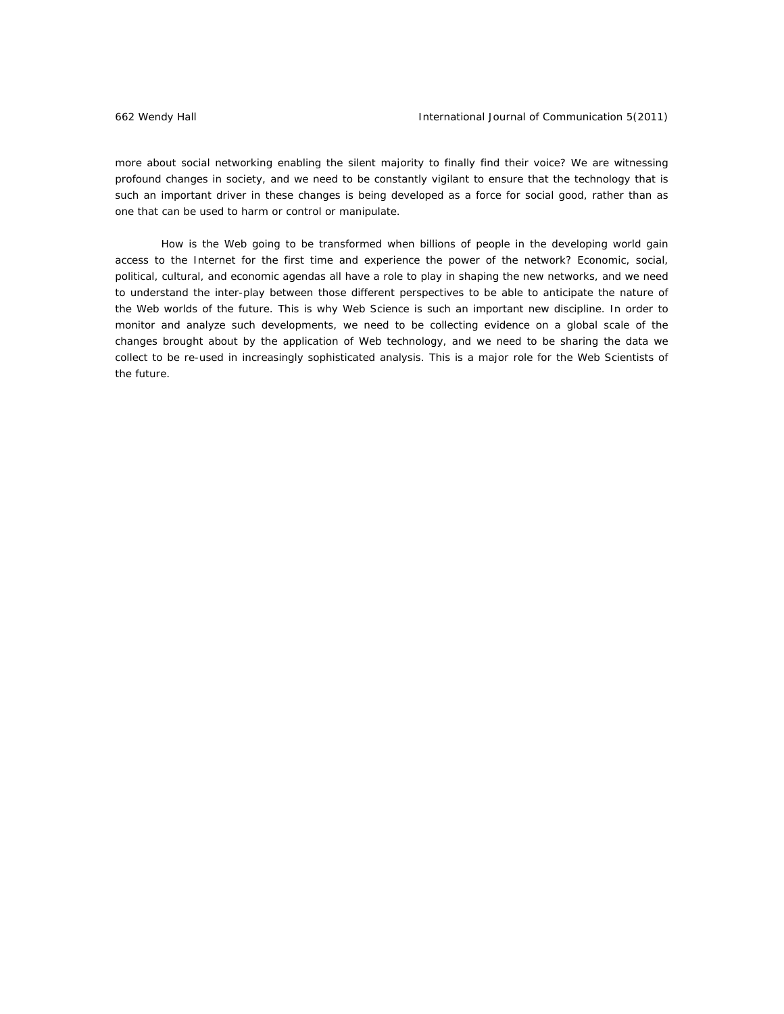more about social networking enabling the silent majority to finally find their voice? We are witnessing profound changes in society, and we need to be constantly vigilant to ensure that the technology that is such an important driver in these changes is being developed as a force for social good, rather than as one that can be used to harm or control or manipulate.

 How is the Web going to be transformed when billions of people in the developing world gain access to the Internet for the first time and experience the power of the network? Economic, social, political, cultural, and economic agendas all have a role to play in shaping the new networks, and we need to understand the inter-play between those different perspectives to be able to anticipate the nature of the Web worlds of the future. This is why Web Science is such an important new discipline. In order to monitor and analyze such developments, we need to be collecting evidence on a global scale of the changes brought about by the application of Web technology, and we need to be sharing the data we collect to be re-used in increasingly sophisticated analysis. This is a major role for the Web Scientists of the future.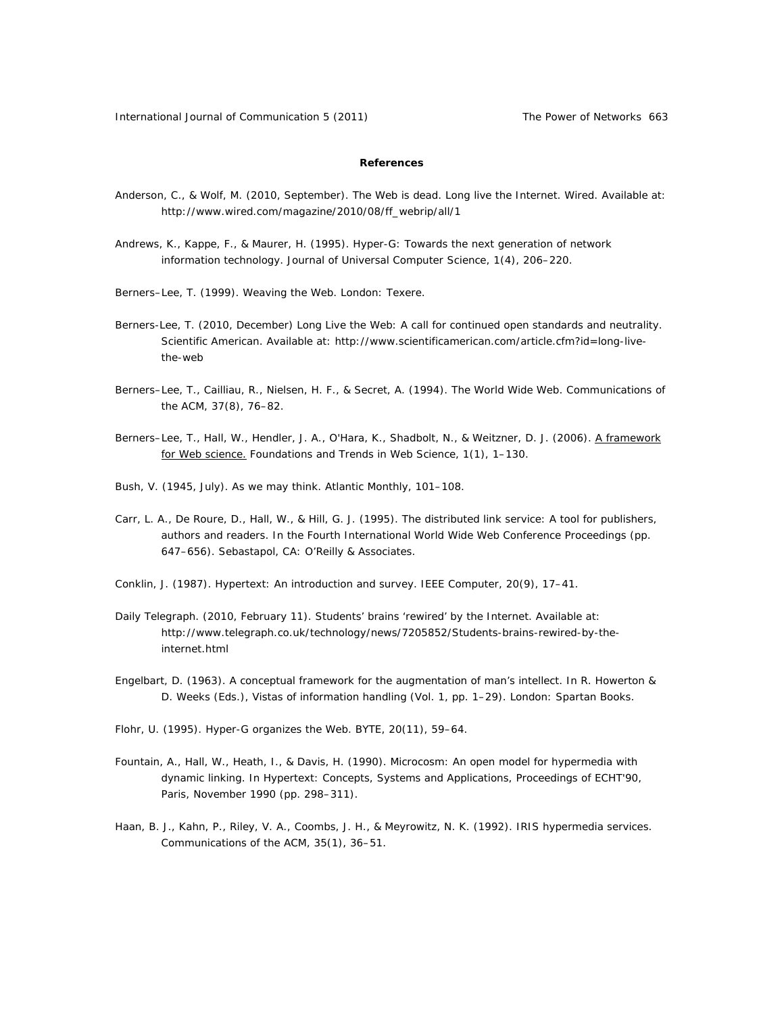## **References**

- Anderson, C., & Wolf, M. (2010, September). The Web is dead. Long live the Internet. *Wired*. Available at: http://www.wired.com/magazine/2010/08/ff\_webrip/all/1
- Andrews, K., Kappe, F., & Maurer, H. (1995). Hyper-G: Towards the next generation of network information technology. *Journal of Universal Computer Science, 1*(4), 206–220.
- Berners–Lee, T. (1999). *Weaving the Web.* London: Texere.
- Berners-Lee, T. (2010, December) Long Live the Web: A call for continued open standards and neutrality. *Scientific American*. Available at: http://www.scientificamerican.com/article.cfm?id=long-livethe-web
- Berners–Lee, T., Cailliau, R., Nielsen, H. F., & Secret, A. (1994). The World Wide Web. *Communications of the ACM, 37*(8), 76–82.
- Berners–Lee, T., Hall, W., Hendler, J. A., O'Hara, K., Shadbolt, N., & Weitzner, D. J. (2006). A framework for Web science. *Foundations and Trends in Web Science*, *1*(1), 1–130.
- Bush, V. (1945, July). As we may think. *Atlantic Monthly*, 101–108.
- Carr, L. A., De Roure, D., Hall, W., & Hill, G. J. (1995). The distributed link service: A tool for publishers, authors and readers. In the *Fourth International World Wide Web Conference Proceedings* (pp. 647–656). Sebastapol, CA: O'Reilly & Associates.
- Conklin, J. (1987). Hypertext: An introduction and survey. *IEEE Computer, 20*(9), 17–41.
- Daily Telegraph. (2010, February 11). Students' brains 'rewired' by the Internet. Available at: http://www.telegraph.co.uk/technology/news/7205852/Students-brains-rewired-by-theinternet.html
- Engelbart, D. (1963). A conceptual framework for the augmentation of man's intellect. In R. Howerton & D. Weeks (Eds.), *Vistas of information handling* (Vol. 1, pp. 1–29). London: Spartan Books.
- Flohr, U. (1995). Hyper-G organizes the Web. *BYTE, 20*(11), 59–64.
- Fountain, A., Hall, W., Heath, I., & Davis, H. (1990). Microcosm: An open model for hypermedia with dynamic linking. In *Hypertext: Concepts, Systems and Applications, Proceedings of ECHT'90, Paris, November 1990* (pp. 298–311).
- Haan, B. J., Kahn, P., Riley, V. A., Coombs, J. H., & Meyrowitz, N. K. (1992). IRIS hypermedia services. *Communications of the ACM, 35*(1), 36–51.